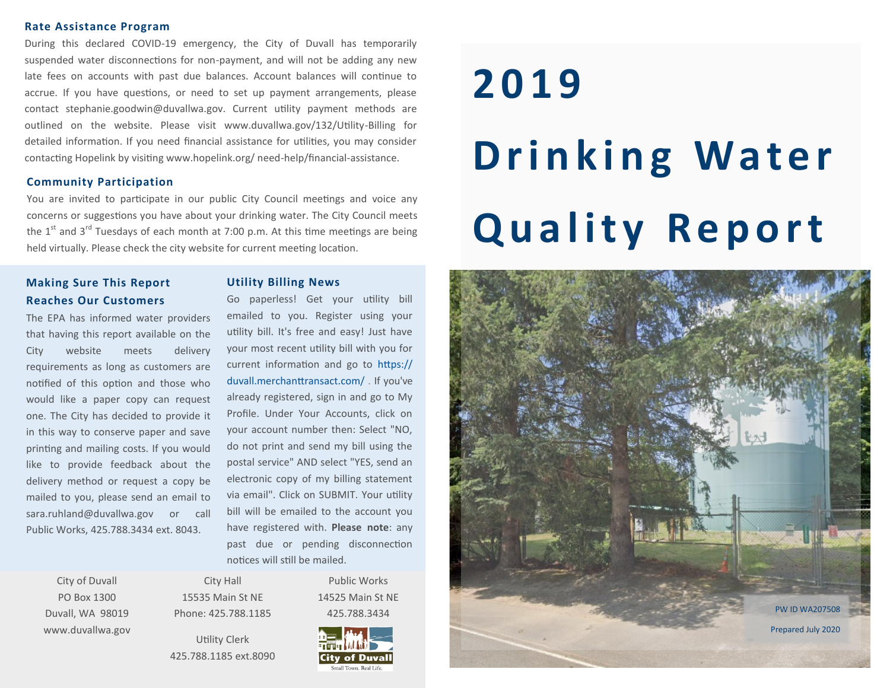#### **Rate Assistance Program**

During this declared COVID-19 emergency, the City of Duvall has temporarily suspended water disconnections for non-payment, and will not be adding any new late fees on accounts with past due balances. Account balances will continue to accrue. If you have questions, or need to set up payment arrangements, please contact stephanie.goodwin@duvallwa.gov. Current utility payment methods are outlined on the website. Please visit www.duvallwa.gov/132/Utility-Billing for detailed information. If you need financial assistance for utilities, you may consider contacting Hopelink by visiting www.hopelink.org/ need-help/financial-assistance.

## **Community Participation**

You are invited to participate in our public City Council meetings and voice any concerns or suggestions you have about your drinking water. The City Council meets the  $1<sup>st</sup>$  and  $3<sup>rd</sup>$  Tuesdays of each month at 7:00 p.m. At this time meetings are being held virtually. Please check the city website for current meeting location.

# **Making Sure This Report Reaches Our Customers**

The EPA has informed water providers that having this report available on the City website meets delivery requirements as long as customers are notified of this option and those who would like a paper copy can request one. The City has decided to provide it in this way to conserve paper and save printing and mailing costs. If you would like to provide feedback about the delivery method or request a copy be mailed to you, please send an email to sara.ruhland@duvallwa.gov or call Public Works, 425.788.3434 ext. 8043.

Go paperless! Get your utility bill emailed to you. Register using your utility bill. It's free and easy! Just have your most recent utility bill with you for current information and go to https:// duvall.merchanttransact.com/ . If you've already registered, sign in and go to My Profile. Under Your Accounts, click on your account number then: Select "NO, do not print and send my bill using the postal service" AND select "YES, send an electronic copy of my billing statement via email". Click on SUBMIT. Your utility bill will be emailed to the account you have registered with. **Please note**: any past due or pending disconnection notices will still be mailed.

**Utility Billing News**

City of Duvall PO Box 1300 Duvall, WA 98019 www.duvallwa.gov

City Hall 15535 Main St NE Phone: 425.788.1185

Utility Clerk 425.788.1185 ext.8090



Public Works 14525 Main St NE

# **2019 Drinking Water Quality Report**

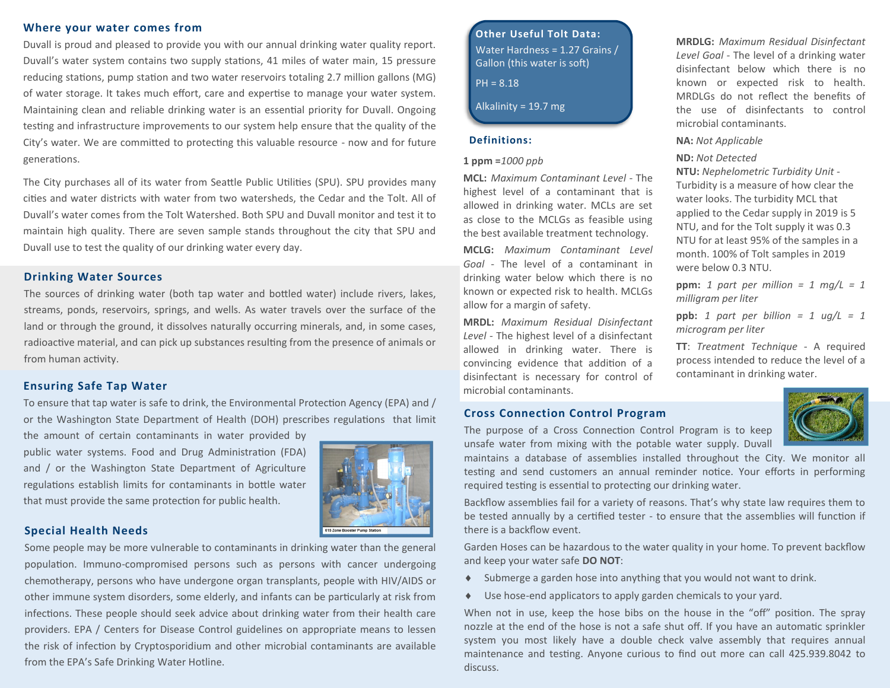## **Where your water comes from**

Duvall is proud and pleased to provide you with our annual drinking water quality report. Duvall's water system contains two supply stations, 41 miles of water main, 15 pressure reducing stations, pump station and two water reservoirs totaling 2.7 million gallons (MG) of water storage. It takes much effort, care and expertise to manage your water system. Maintaining clean and reliable drinking water is an essential priority for Duvall. Ongoing testing and infrastructure improvements to our system help ensure that the quality of the City's water. We are committed to protecting this valuable resource - now and for future generations.

The City purchases all of its water from Seattle Public Utilities (SPU). SPU provides many cities and water districts with water from two watersheds, the Cedar and the Tolt. All of Duvall's water comes from the Tolt Watershed. Both SPU and Duvall monitor and test it to maintain high quality. There are seven sample stands throughout the city that SPU and Duvall use to test the quality of our drinking water every day.

## **Drinking Water Sources**

The sources of drinking water (both tap water and bottled water) include rivers, lakes, streams, ponds, reservoirs, springs, and wells. As water travels over the surface of the land or through the ground, it dissolves naturally occurring minerals, and, in some cases, radioactive material, and can pick up substances resulting from the presence of animals or from human activity.

## **Ensuring Safe Tap Water**

To ensure that tap water is safe to drink, the Environmental Protection Agency (EPA) and / or the Washington State Department of Health (DOH) prescribes regulations that limit

the amount of certain contaminants in water provided by public water systems. Food and Drug Administration (FDA) and / or the Washington State Department of Agriculture regulations establish limits for contaminants in bottle water that must provide the same protection for public health.



## **Special Health Needs**

Some people may be more vulnerable to contaminants in drinking water than the general population. Immuno-compromised persons such as persons with cancer undergoing chemotherapy, persons who have undergone organ transplants, people with HIV/AIDS or other immune system disorders, some elderly, and infants can be particularly at risk from infections. These people should seek advice about drinking water from their health care providers. EPA / Centers for Disease Control guidelines on appropriate means to lessen the risk of infection by Cryptosporidium and other microbial contaminants are available from the EPA's Safe Drinking Water Hotline.

**Other Useful Tolt Data:** Water Hardness = 1.27 Grains / Gallon (this water is soft)

PH = 8.18

Alkalinity =  $19.7$  mg

## **Definitions:**

#### **1 ppm =***1000 ppb*

**MCL:** *Maximum Contaminant Level -* The highest level of a contaminant that is allowed in drinking water. MCLs are set as close to the MCLGs as feasible using the best available treatment technology.

**MCLG:** *Maximum Contaminant Level Goal -* The level of a contaminant in drinking water below which there is no known or expected risk to health. MCLGs allow for a margin of safety.

**MRDL:** *Maximum Residual Disinfectant Level -* The highest level of a disinfectant allowed in drinking water. There is convincing evidence that addition of a disinfectant is necessary for control of microbial contaminants.

### **Cross Connection Control Program**

The purpose of a Cross Connection Control Program is to keep unsafe water from mixing with the potable water supply. Duvall

maintains a database of assemblies installed throughout the City. We monitor all testing and send customers an annual reminder notice. Your efforts in performing required testing is essential to protecting our drinking water.

Backflow assemblies fail for a variety of reasons. That's why state law requires them to be tested annually by a certified tester - to ensure that the assemblies will function if there is a backflow event.

Garden Hoses can be hazardous to the water quality in your home. To prevent backflow and keep your water safe **DO NOT**:

- Submerge a garden hose into anything that you would not want to drink.
- Use hose-end applicators to apply garden chemicals to your yard.

When not in use, keep the hose bibs on the house in the "off" position. The spray nozzle at the end of the hose is not a safe shut off. If you have an automatic sprinkler system you most likely have a double check valve assembly that requires annual maintenance and testing. Anyone curious to find out more can call 425.939.8042 to discuss.



**MRDLG:** *Maximum Residual Disinfectant Level Goal -* The level of a drinking water disinfectant below which there is no known or expected risk to health. MRDLGs do not reflect the benefits of the use of disinfectants to control microbial contaminants.

#### **NA:** *Not Applicable*

*microgram per liter*

**ND:** *Not Detected* **NTU:** *Nephelometric Turbidity Unit -* Turbidity is a measure of how clear the water looks. The turbidity MCL that applied to the Cedar supply in 2019 is 5

NTU, and for the Tolt supply it was 0.3 NTU for at least 95% of the samples in a month. 100% of Tolt samples in 2019 were below 0.3 NTU.

**ppm:** 1 part per million = 1 mg/L = 1 *milligram per liter*

**ppb:** *1 part per billion = 1 ug/L = 1* 

**TT**: *Treatment Technique -* A required process intended to reduce the level of a

contaminant in drinking water.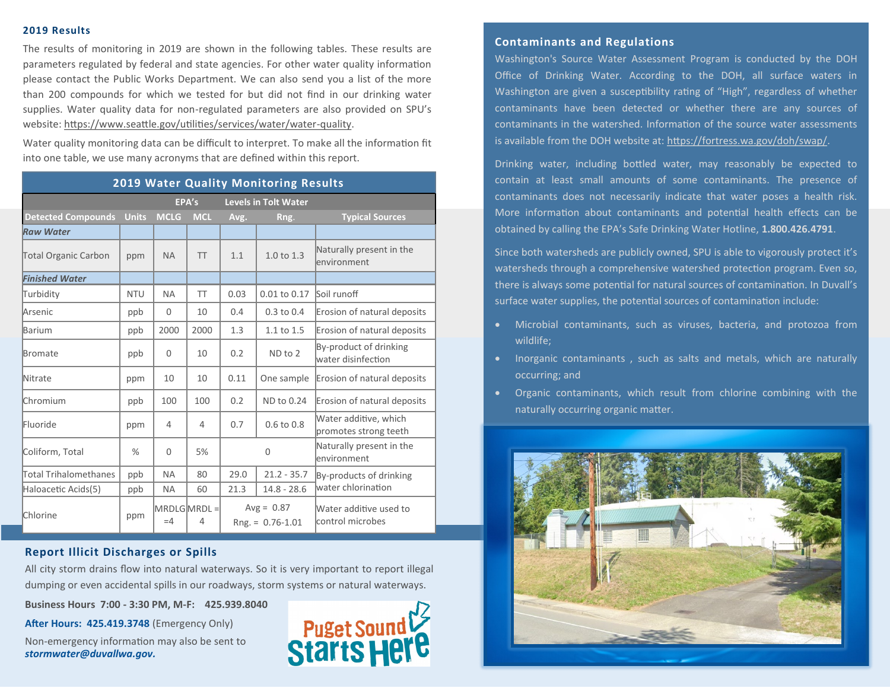## **2019 Results**

The results of monitoring in 2019 are shown in the following tables. These results are parameters regulated by federal and state agencies. For other water quality information please contact the Public Works Department. We can also send you a list of the more than 200 compounds for which we tested for but did not find in our drinking water supplies. Water quality data for non-regulated parameters are also provided on SPU's website: [https://www.seattle.gov/utilities/services/water/water](https://www.seattle.gov/utilities/services/water/water-quality)-quality.

Water quality monitoring data can be difficult to interpret. To make all the information fit into one table, we use many acronyms that are defined within this report.

| <b>2019 Water Quality Monitoring Results</b> |              |                |                  |                                     |                       |                                                |  |  |  |  |
|----------------------------------------------|--------------|----------------|------------------|-------------------------------------|-----------------------|------------------------------------------------|--|--|--|--|
|                                              | EPA's        |                |                  | <b>Levels in Tolt Water</b>         |                       |                                                |  |  |  |  |
| <b>Detected Compounds</b>                    | <b>Units</b> | <b>MCLG</b>    | <b>MCL</b>       | Avg.                                | Rng.                  | <b>Typical Sources</b>                         |  |  |  |  |
| <b>Raw Water</b>                             |              |                |                  |                                     |                       |                                                |  |  |  |  |
| <b>Total Organic Carbon</b>                  | ppm          | <b>NA</b>      | <b>TT</b>        | 1.1                                 | $1.0 \text{ to } 1.3$ | Naturally present in the<br>lenvironment       |  |  |  |  |
| <b>Finished Water</b>                        |              |                |                  |                                     |                       |                                                |  |  |  |  |
| Turbidity                                    | <b>NTU</b>   | <b>NA</b>      | <b>TT</b>        | 0.03                                | 0.01 to 0.17          | Soil runoff                                    |  |  |  |  |
| <b>Arsenic</b>                               | ppb          | $\Omega$       | 10               | 0.4                                 | $0.3$ to $0.4$        | Erosion of natural deposits                    |  |  |  |  |
| Barium                                       | ppb          | 2000           | 2000             | 1.3                                 | 1.1 to 1.5            | Erosion of natural deposits                    |  |  |  |  |
| Bromate                                      | ppb          | $\mathbf{0}$   | 10               | 0.2                                 | ND to 2               | By-product of drinking<br>water disinfection   |  |  |  |  |
| <b>Nitrate</b>                               | ppm          | 10             | 10               | 0.11                                | One sample            | Erosion of natural deposits                    |  |  |  |  |
| <b>Chromium</b>                              | ppb          | 100            | 100              | 0.2                                 | ND to 0.24            | Erosion of natural deposits                    |  |  |  |  |
| Fluoride                                     | ppm          | $\overline{4}$ | $\overline{4}$   | 0.7                                 | $0.6$ to $0.8$        | Water additive, which<br>promotes strong teeth |  |  |  |  |
| Coliform, Total                              | $\%$         | $\Omega$       | 5%               | $\Omega$                            |                       | Naturally present in the<br>lenvironment       |  |  |  |  |
| Total Trihalomethanes                        | ppb          | <b>NA</b>      | 80               | 29.0                                | $21.2 - 35.7$         | By-products of drinking                        |  |  |  |  |
| Haloacetic Acids(5)                          | ppb          | <b>NA</b>      | 60               | 21.3                                | $14.8 - 28.6$         | water chlorination                             |  |  |  |  |
| Chlorine                                     | ppm          | $=4$           | MRDLGMRDL =<br>4 | $Avg = 0.87$<br>$Rng = 0.76 - 1.01$ |                       | Water additive used to<br>control microbes     |  |  |  |  |

## **Report Illicit Discharges or Spills**

All city storm drains flow into natural waterways. So it is very important to report illegal dumping or even accidental spills in our roadways, storm systems or natural waterways.

**Business Hours 7:00 - 3:30 PM, M-F: 425.939.8040**

**After Hours: 425.419.3748** (Emergency Only)

Non-emergency information may also be sent to *stormwater@duvallwa.gov.*



## **Contaminants and Regulations**

Washington's Source Water Assessment Program is conducted by the DOH Office of Drinking Water. According to the DOH, all surface waters in Washington are given a susceptibility rating of "High", regardless of whether contaminants have been detected or whether there are any sources of contaminants in the watershed. Information of the source water assessments is available from the DOH website at: [https://fortress.wa.gov/doh/swap/.](https://fortress.wa.gov/doh/swap/) 

Drinking water, including bottled water, may reasonably be expected to contain at least small amounts of some contaminants. The presence of contaminants does not necessarily indicate that water poses a health risk. More information about contaminants and potential health effects can be obtained by calling the EPA's Safe Drinking Water Hotline, **1.800.426.4791**.

Since both watersheds are publicly owned, SPU is able to vigorously protect it's watersheds through a comprehensive watershed protection program. Even so, there is always some potential for natural sources of contamination. In Duvall's surface water supplies, the potential sources of contamination include:

- Microbial contaminants, such as viruses, bacteria, and protozoa from wildlife;
- Inorganic contaminants , such as salts and metals, which are naturally occurring; and
- Organic contaminants, which result from chlorine combining with the naturally occurring organic matter.